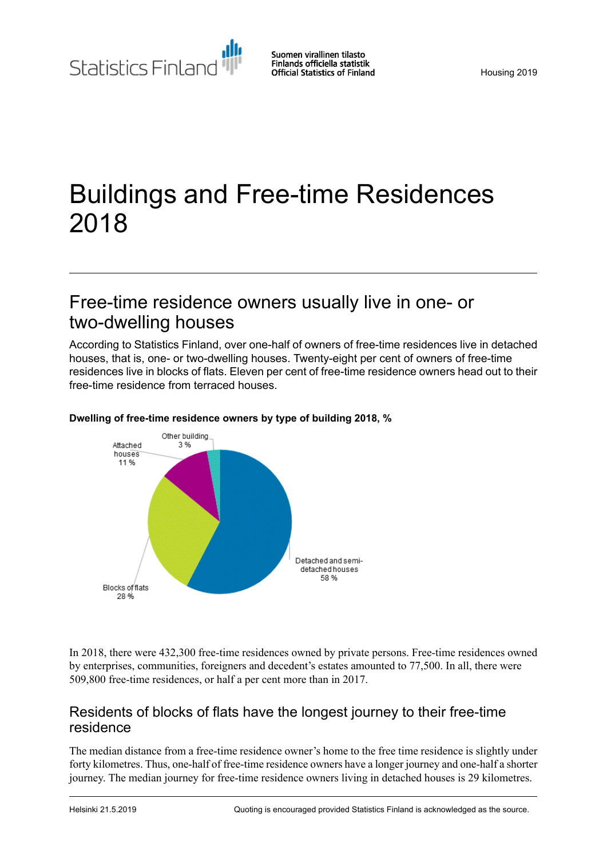Statistics Finland

# Buildings and Free-time Residences 2018

# Free-time residence owners usually live in one- or two-dwelling houses

According to Statistics Finland, over one-half of owners of free-time residences live in detached houses, that is, one- or two-dwelling houses. Twenty-eight per cent of owners of free-time residences live in blocks of flats. Eleven per cent of free-time residence owners head out to their free-time residence from terraced houses.



#### **Dwelling of free-time residence owners by type of building 2018, %**

In 2018, there were 432,300 free-time residences owned by private persons. Free-time residences owned by enterprises, communities, foreigners and decedent's estates amounted to 77,500. In all, there were 509,800 free-time residences, or half a per cent more than in 2017.

#### Residents of blocks of flats have the longest journey to their free-time residence

The median distance from a free-time residence owner's home to the free time residence is slightly under forty kilometres. Thus, one-half of free-time residence owners have a longer journey and one-half a shorter journey. The median journey for free-time residence owners living in detached houses is 29 kilometres.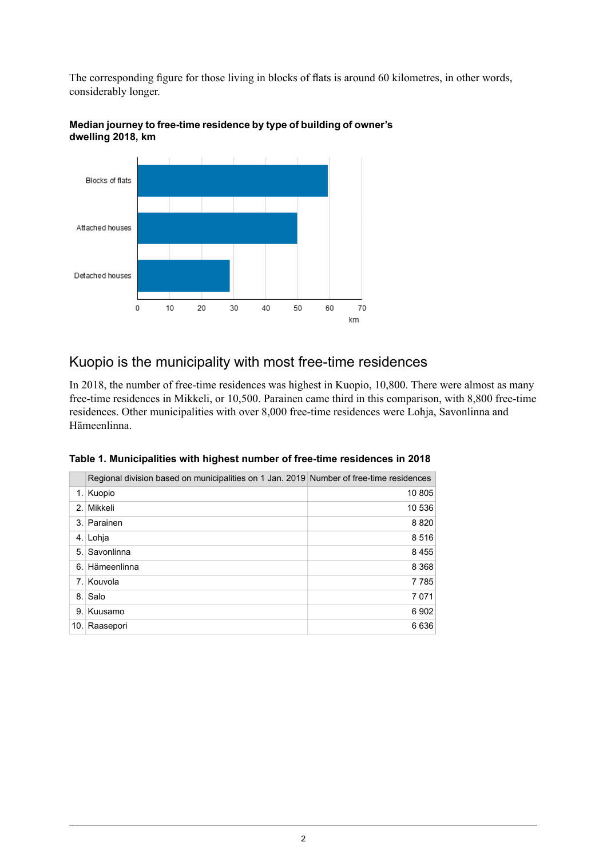The corresponding figure for those living in blocks of flats is around 60 kilometres, in other words, considerably longer.



#### **Median journey to free-time residence by type of building of owner's dwelling 2018, km**

### Kuopio is the municipality with most free-time residences

In 2018, the number of free-time residences was highest in Kuopio, 10,800. There were almost as many free-time residences in Mikkeli, or 10,500. Parainen came third in this comparison, with 8,800 free-time residences. Other municipalities with over 8,000 free-time residences were Lohja, Savonlinna and Hämeenlinna.

|     | Regional division based on municipalities on 1 Jan. 2019 Number of free-time residences |         |
|-----|-----------------------------------------------------------------------------------------|---------|
| 1.1 | Kuopio                                                                                  | 10 805  |
|     | 2. Mikkeli                                                                              | 10 536  |
| 3.1 | Parainen                                                                                | 8820    |
|     | 4. Lohja                                                                                | 8516    |
| 5.  | Savonlinna                                                                              | 8455    |
| 6.  | <b>Hämeenlinna</b>                                                                      | 8 3 6 8 |
|     | 7. Kouvola                                                                              | 7785    |
| 8.1 | Salo                                                                                    | 7071    |
|     | 9. Kuusamo                                                                              | 6902    |
|     | 10. Raasepori                                                                           | 6636    |

| Table 1. Municipalities with highest number of free-time residences in 2018 |  |  |  |
|-----------------------------------------------------------------------------|--|--|--|
|                                                                             |  |  |  |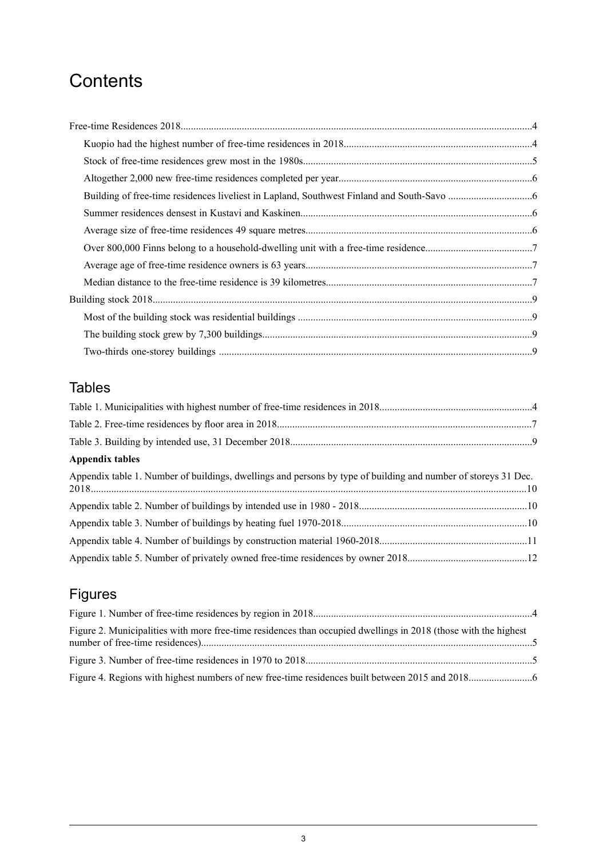# **Contents**

# Tables

| Appendix tables                                                                                                |  |
|----------------------------------------------------------------------------------------------------------------|--|
| Appendix table 1. Number of buildings, dwellings and persons by type of building and number of storeys 31 Dec. |  |
|                                                                                                                |  |
|                                                                                                                |  |
|                                                                                                                |  |
|                                                                                                                |  |

# Figures

| Figure 2. Municipalities with more free-time residences than occupied dwellings in 2018 (those with the highest |  |
|-----------------------------------------------------------------------------------------------------------------|--|
|                                                                                                                 |  |
|                                                                                                                 |  |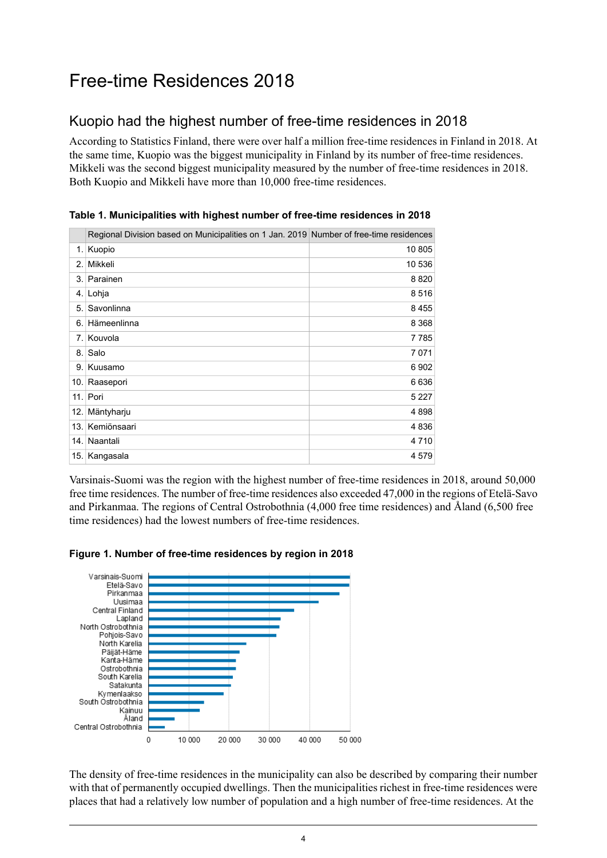# <span id="page-3-0"></span>Free-time Residences 2018

### <span id="page-3-1"></span>Kuopio had the highest number of free-time residences in 2018

According to Statistics Finland, there were over half a million free-time residences in Finland in 2018. At the same time, Kuopio was the biggest municipality in Finland by its number of free-time residences. Mikkeli was the second biggest municipality measured by the number of free-time residences in 2018. Both Kuopio and Mikkeli have more than 10,000 free-time residences.

|      | Regional Division based on Municipalities on 1 Jan. 2019 Number of free-time residences |         |
|------|-----------------------------------------------------------------------------------------|---------|
|      | 1. Kuopio                                                                               | 10 805  |
| 2.1  | Mikkeli                                                                                 | 10 536  |
|      | 3. Parainen                                                                             | 8820    |
|      | 4. Lohja                                                                                | 8516    |
| 5.   | Savonlinna                                                                              | 8455    |
| 6.   | Hämeenlinna                                                                             | 8 3 6 8 |
| 7.1  | Kouvola                                                                                 | 7785    |
| 8.1  | Salo                                                                                    | 7071    |
| 9.1  | Kuusamo                                                                                 | 6902    |
|      | 10. Raasepori                                                                           | 6636    |
|      | 11. Pori                                                                                | 5 2 2 7 |
| 12.  | Mäntyharju                                                                              | 4898    |
| 13.1 | Kemiönsaari                                                                             | 4836    |
| 14.  | Naantali                                                                                | 4 7 1 0 |
|      | 15. Kangasala                                                                           | 4 5 7 9 |

<span id="page-3-2"></span>**Table 1. Municipalities with highest number of free-time residences in 2018**

<span id="page-3-3"></span>Varsinais-Suomi was the region with the highest number of free-time residences in 2018, around 50,000 free time residences. The number of free-time residences also exceeded 47,000 in the regions of Etelä-Savo and Pirkanmaa. The regions of Central Ostrobothnia (4,000 free time residences) and Åland (6,500 free time residences) had the lowest numbers of free-time residences.





The density of free-time residences in the municipality can also be described by comparing their number with that of permanently occupied dwellings. Then the municipalities richest in free-time residences were places that had a relatively low number of population and a high number of free-time residences. At the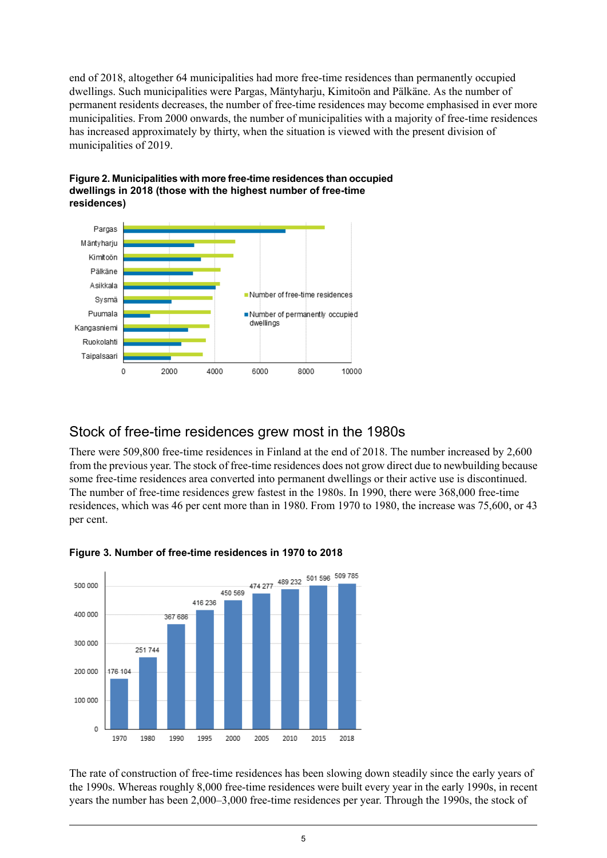end of 2018, altogether 64 municipalities had more free-time residences than permanently occupied dwellings. Such municipalities were Pargas, Mäntyharju, Kimitoön and Pälkäne. As the number of permanent residents decreases, the number of free-time residences may become emphasised in ever more municipalities. From 2000 onwards, the number of municipalities with a majority of free-time residences has increased approximately by thirty, when the situation is viewed with the present division of municipalities of 2019.



<span id="page-4-1"></span>

#### <span id="page-4-0"></span>Stock of free-time residences grew most in the 1980s

<span id="page-4-2"></span>There were 509,800 free-time residences in Finland at the end of 2018. The number increased by 2,600 from the previous year. The stock of free-time residences does not grow direct due to newbuilding because some free-time residences area converted into permanent dwellings or their active use is discontinued. The number of free-time residences grew fastest in the 1980s. In 1990, there were 368,000 free-time residences, which was 46 per cent more than in 1980. From 1970 to 1980, the increase was 75,600, or 43 per cent.



#### **Figure 3. Number of free-time residences in 1970 to 2018**

The rate of construction of free-time residences has been slowing down steadily since the early years of the 1990s. Whereas roughly 8,000 free-time residences were built every year in the early 1990s, in recent years the number has been 2,000–3,000 free-time residences per year. Through the 1990s, the stock of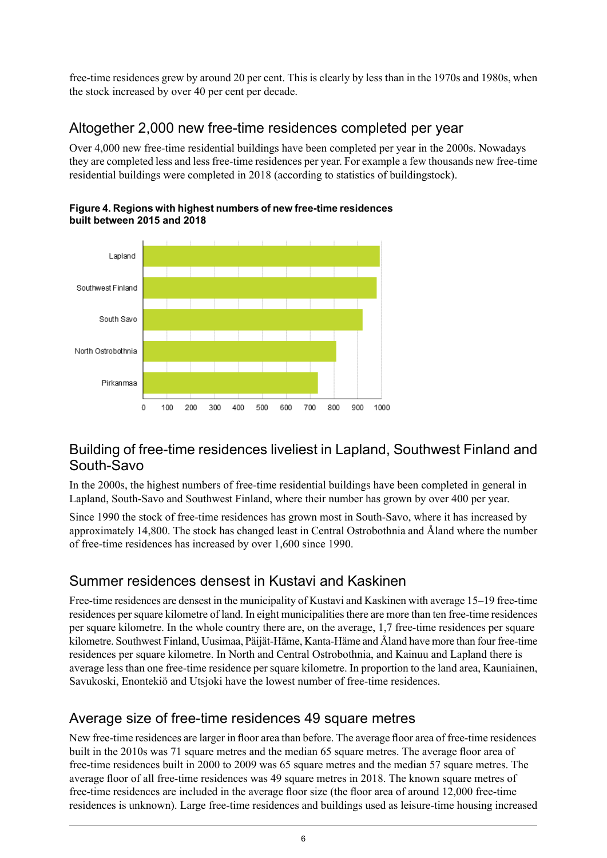free-time residences grew by around 20 per cent. This is clearly by less than in the 1970s and 1980s, when the stock increased by over 40 per cent per decade.

### <span id="page-5-0"></span>Altogether 2,000 new free-time residences completed per year

Over 4,000 new free-time residential buildings have been completed per year in the 2000s. Nowadays they are completed less and less free-time residences per year. For example a few thousands new free-time residential buildings were completed in 2018 (according to statistics of buildingstock).



<span id="page-5-4"></span>**Figure4. Regions with highest numbers of new free-timeresidences built between 2015 and 2018**

#### <span id="page-5-1"></span>Building of free-time residences liveliest in Lapland, Southwest Finland and South-Savo

In the 2000s, the highest numbers of free-time residential buildings have been completed in general in Lapland, South-Savo and Southwest Finland, where their number has grown by over 400 per year.

<span id="page-5-2"></span>Since 1990 the stock of free-time residences has grown most in South-Savo, where it has increased by approximately 14,800. The stock has changed least in Central Ostrobothnia and Åland where the number of free-time residences has increased by over 1,600 since 1990.

### Summer residences densest in Kustavi and Kaskinen

<span id="page-5-3"></span>Free-time residences are densest in the municipality of Kustavi and Kaskinen with average 15–19 free-time residences persquare kilometre of land. In eight municipalitiesthere are more than ten free-time residences per square kilometre. In the whole country there are, on the average, 1,7 free-time residences per square kilometre. Southwest Finland, Uusimaa, Päijät-Häme, Kanta-Häme and Åland have more than four free-time residences per square kilometre. In North and Central Ostrobothnia, and Kainuu and Lapland there is average less than one free-time residence per square kilometre. In proportion to the land area, Kauniainen, Savukoski, Enontekiö and Utsjoki have the lowest number of free-time residences.

#### Average size of free-time residences 49 square metres

New free-time residences are larger in floor area than before. The average floor area of free-time residences built in the 2010s was 71 square metres and the median 65 square metres. The average floor area of free-time residences built in 2000 to 2009 was 65 square metres and the median 57 square metres. The average floor of all free-time residences was 49 square metres in 2018. The known square metres of free-time residences are included in the average floor size (the floor area of around 12,000 free-time residences is unknown). Large free-time residences and buildings used as leisure-time housing increased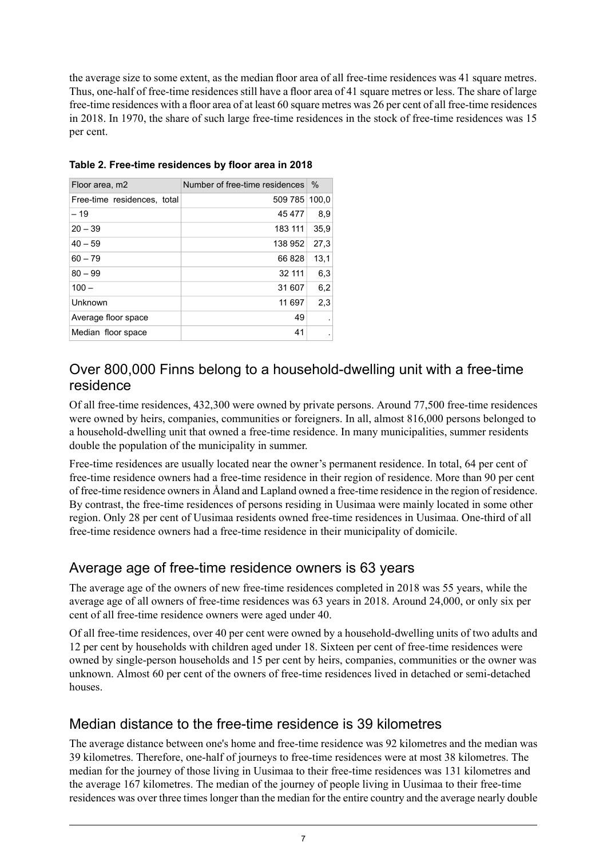the average size to some extent, as the median floor area of all free-time residences was 41 square metres. Thus, one-half of free-time residences still have a floor area of 41 square metres or less. The share of large free-time residences with a floor area of at least 60 square metres was 26 per cent of all free-time residences in 2018. In 1970, the share of such large free-time residences in the stock of free-time residences was 15 per cent.

| Floor area, m2              | Number of free-time residences | $\%$  |
|-----------------------------|--------------------------------|-------|
| Free-time residences, total | 509 785                        | 100.0 |
| $-19$                       | 45 477                         | 8,9   |
| $20 - 39$                   | 183 111                        | 35,9  |
| $40 - 59$                   | 138 952                        | 27,3  |
| $60 - 79$                   | 66 828                         | 13.1  |
| $80 - 99$                   | 32 111                         | 6,3   |
| $100 -$                     | 31 607                         | 6,2   |
| Unknown                     | 11 697                         | 2,3   |
| Average floor space         | 49                             |       |
| Median floor space          | 41                             |       |

<span id="page-6-3"></span>**Table 2. Free-time residences by floor area in 2018**

#### <span id="page-6-0"></span>Over 800,000 Finns belong to a household-dwelling unit with a free-time residence

Of all free-time residences, 432,300 were owned by private persons. Around 77,500 free-time residences were owned by heirs, companies, communities or foreigners. In all, almost 816,000 persons belonged to a household-dwelling unit that owned a free-time residence. In many municipalities, summer residents double the population of the municipality in summer.

<span id="page-6-1"></span>Free-time residences are usually located near the owner's permanent residence. In total, 64 per cent of free-time residence owners had a free-time residence in their region of residence. More than 90 per cent of free-time residence ownersin Åland and Lapland owned a free-time residence in the region of residence. By contrast, the free-time residences of persons residing in Uusimaa were mainly located in some other region. Only 28 per cent of Uusimaa residents owned free-time residences in Uusimaa. One-third of all free-time residence owners had a free-time residence in their municipality of domicile.

### Average age of free-time residence owners is 63 years

The average age of the owners of new free-time residences completed in 2018 was 55 years, while the average age of all owners of free-time residences was 63 years in 2018. Around 24,000, or only six per cent of all free-time residence owners were aged under 40.

<span id="page-6-2"></span>Of all free-time residences, over 40 per cent were owned by a household-dwelling units of two adults and 12 per cent by households with children aged under 18. Sixteen per cent of free-time residences were owned by single-person households and 15 per cent by heirs, companies, communities or the owner was unknown. Almost 60 per cent of the owners of free-time residences lived in detached or semi-detached houses.

### Median distance to the free-time residence is 39 kilometres

The average distance between one's home and free-time residence was 92 kilometres and the median was 39 kilometres. Therefore, one-half of journeys to free-time residences were at most 38 kilometres. The median for the journey of those living in Uusimaa to their free-time residences was 131 kilometres and the average 167 kilometres. The median of the journey of people living in Uusimaa to their free-time residences was over three times longer than the median for the entire country and the average nearly double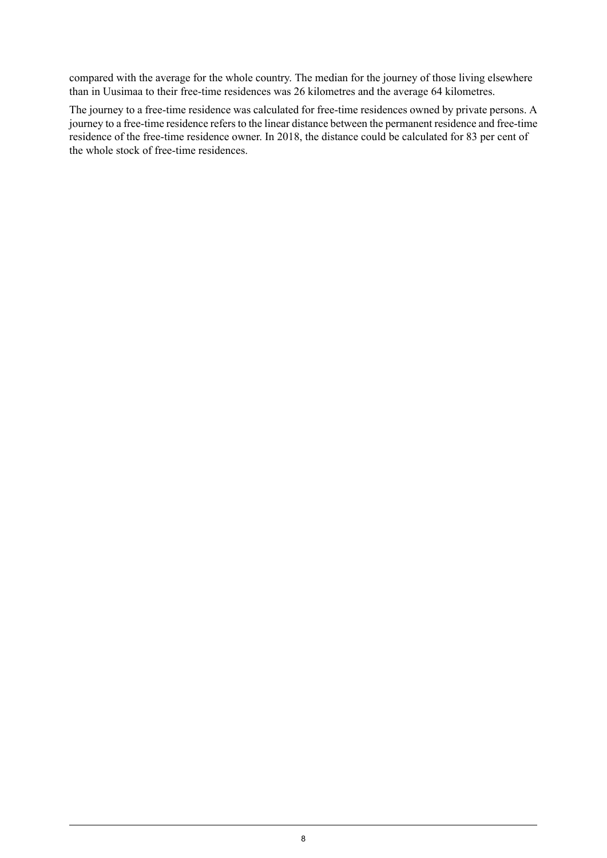compared with the average for the whole country. The median for the journey of those living elsewhere than in Uusimaa to their free-time residences was 26 kilometres and the average 64 kilometres.

The journey to a free-time residence was calculated for free-time residences owned by private persons. A journey to a free-time residence refers to the linear distance between the permanent residence and free-time residence of the free-time residence owner. In 2018, the distance could be calculated for 83 per cent of the whole stock of free-time residences.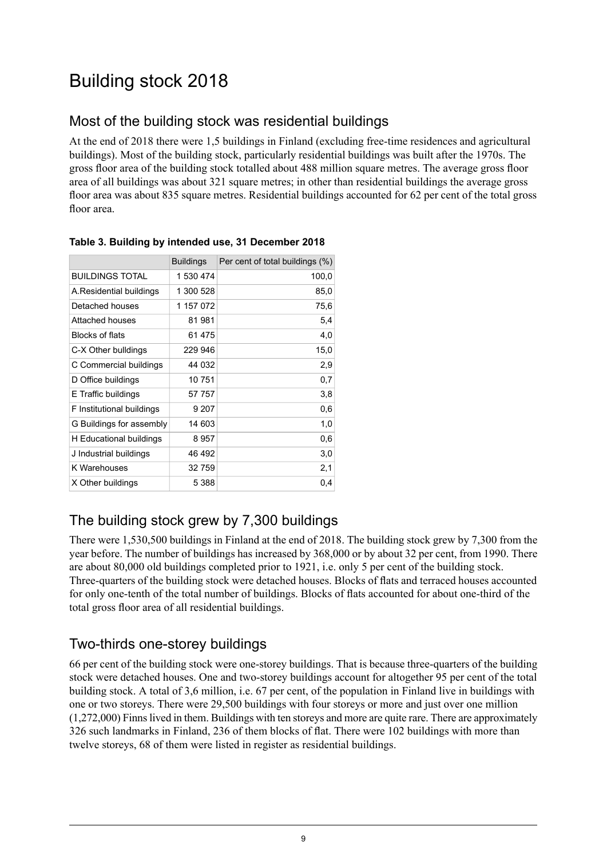# <span id="page-8-0"></span>Building stock 2018

## <span id="page-8-1"></span>Most of the building stock was residential buildings

At the end of 2018 there were 1,5 buildings in Finland (excluding free-time residences and agricultural buildings). Most of the building stock, particularly residential buildings was built after the 1970s. The gross floor area of the building stock totalled about 488 million square metres. The average gross floor area of all buildings was about 321 square metres; in other than residential buildings the average gross floor area was about 835 square metres. Residential buildings accounted for 62 per cent of the total gross floor area.

|                           | <b>Buildings</b> | Per cent of total buildings (%) |
|---------------------------|------------------|---------------------------------|
| <b>BUILDINGS TOTAL</b>    | 1 530 474        | 100,0                           |
| A Residential buildings   | 1 300 528        | 85,0                            |
| Detached houses           | 1 157 072        | 75,6                            |
| Attached houses           | 81 981           | 5,4                             |
| Blocks of flats           | 61 475           | 4,0                             |
| C-X Other bulldings       | 229 946          | 15,0                            |
| C Commercial buildings    | 44 032           | 2,9                             |
| D Office buildings        | 10 751           | 0,7                             |
| E Traffic buildings       | 57 757           | 3,8                             |
| F Institutional buildings | 9 207            | 0,6                             |
| G Buildings for assembly  | 14 603           | 1,0                             |
| H Educational buildings   | 8957             | 0,6                             |
| J Industrial buildings    | 46 492           | 3,0                             |
| K Warehouses              | 32 759           | 2,1                             |
| X Other buildings         | 5 388            | 0,4                             |

#### <span id="page-8-4"></span>**Table 3. Building by intended use, 31 December 2018**

### <span id="page-8-2"></span>The building stock grew by 7,300 buildings

<span id="page-8-3"></span>There were 1,530,500 buildings in Finland at the end of 2018. The building stock grew by 7,300 from the year before. The number of buildings has increased by 368,000 or by about 32 per cent, from 1990. There are about 80,000 old buildings completed prior to 1921, i.e. only 5 per cent of the building stock. Three-quarters of the building stock were detached houses. Blocks of flats and terraced houses accounted for only one-tenth of the total number of buildings. Blocks of flats accounted for about one-third of the total gross floor area of all residential buildings.

#### Two-thirds one-storey buildings

66 per cent of the building stock were one-storey buildings. That is because three-quarters of the building stock were detached houses. One and two-storey buildings account for altogether 95 per cent of the total building stock. A total of 3,6 million, i.e. 67 per cent, of the population in Finland live in buildings with one or two storeys. There were 29,500 buildings with four storeys or more and just over one million (1,272,000) Finnslived in them. Buildings with ten storeys and more are quite rare. There are approximately 326 such landmarks in Finland, 236 of them blocks of flat. There were 102 buildings with more than twelve storeys, 68 of them were listed in register as residential buildings.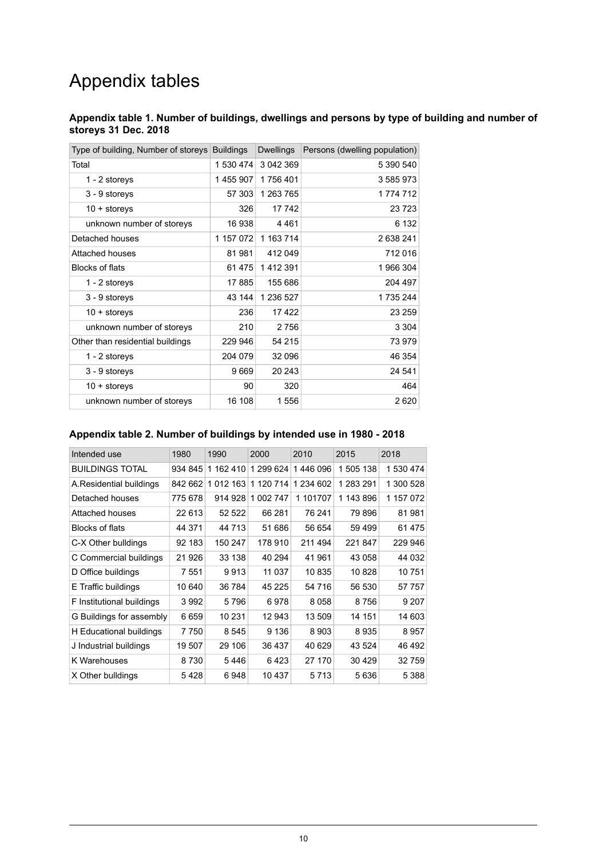# Appendix tables

#### <span id="page-9-0"></span>**Appendix table 1. Number of buildings, dwellings and persons by type of building and number of storeys 31 Dec. 2018**

| Type of building, Number of storeys | <b>Buildings</b> | <b>Dwellings</b> | Persons (dwelling population) |
|-------------------------------------|------------------|------------------|-------------------------------|
| Total                               | 1 530 474        | 3 042 369        | 5 390 540                     |
| 1 - 2 storeys                       | 1455907          | 1756401          | 3 585 973                     |
| 3 - 9 storeys                       | 57 303           | 1 263 765        | 1 774 712                     |
| $10 +$ storeys                      | 326              | 17 742           | 23 7 23                       |
| unknown number of storeys           | 16938            | 4461             | 6 1 3 2                       |
| Detached houses                     | 1 157 072        | 1 163 714        | 2 638 241                     |
| Attached houses                     | 81981            | 412 049          | 712 016                       |
| <b>Blocks of flats</b>              | 61 475           | 1412391          | 1 966 304                     |
| 1 - 2 storeys                       | 17885            | 155 686          | 204 497                       |
| 3 - 9 storeys                       | 43 144           | 1 236 527        | 1735244                       |
| $10 +$ storeys                      | 236              | 17422            | 23 259                        |
| unknown number of storeys           | 210              | 2 7 5 6          | 3 3 0 4                       |
| Other than residential buildings    | 229 946          | 54 215           | 73 979                        |
| 1 - 2 storeys                       | 204 079          | 32 096           | 46 354                        |
| 3 - 9 storeys                       | 9669             | 20 24 3          | 24 541                        |
| $10 +$ storeys                      | 90               | 320              | 464                           |
| unknown number of storeys           | 16 108           | 1 556            | 2620                          |

#### <span id="page-9-1"></span>**Appendix table 2. Number of buildings by intended use in 1980 - 2018**

<span id="page-9-2"></span>

| Intended use              | 1980    | 1990      | 2000         | 2010      | 2015      | 2018      |
|---------------------------|---------|-----------|--------------|-----------|-----------|-----------|
| <b>BUILDINGS TOTAL</b>    | 934 845 | 1 162 410 | 1 299 624    | 1446 096  | 1 505 138 | 1 530 474 |
| A.Residential buildings   | 842 662 | 1 012 163 | 1 120 714    | 1 234 602 | 1 283 291 | 1 300 528 |
| Detached houses           | 775 678 | 914 928   | 002 747<br>1 | 1 101707  | 1 143 896 | 1 157 072 |
| Attached houses           | 22 613  | 52 522    | 66 281       | 76 241    | 79 896    | 81981     |
| <b>Blocks of flats</b>    | 44 371  | 44 713    | 51 686       | 56 654    | 59 499    | 61 475    |
| C-X Other bulldings       | 92 183  | 150 247   | 178 910      | 211 494   | 221847    | 229 946   |
| C Commercial buildings    | 21 926  | 33 138    | 40 294       | 41 961    | 43 058    | 44 032    |
| D Office buildings        | 7 551   | 9913      | 11 037       | 10835     | 10828     | 10751     |
| E Traffic buildings       | 10 640  | 36 784    | 45 225       | 54 716    | 56 530    | 57 757    |
| F Institutional buildings | 3992    | 5796      | 6978         | 8058      | 8756      | 9 20 7    |
| G Buildings for assembly  | 6659    | 10 231    | 12 943       | 13 509    | 14 151    | 14 603    |
| H Educational buildings   | 7750    | 8545      | 9 1 3 6      | 8903      | 8935      | 8957      |
| J Industrial buildings    | 19 507  | 29 106    | 36 437       | 40 629    | 43 524    | 46 492    |
| K Warehouses              | 8730    | 5446      | 6423         | 27 170    | 30 4 29   | 32 759    |
| X Other bulldings         | 5428    | 6948      | 10 437       | 5 7 1 3   | 5636      | 5 3 8 8   |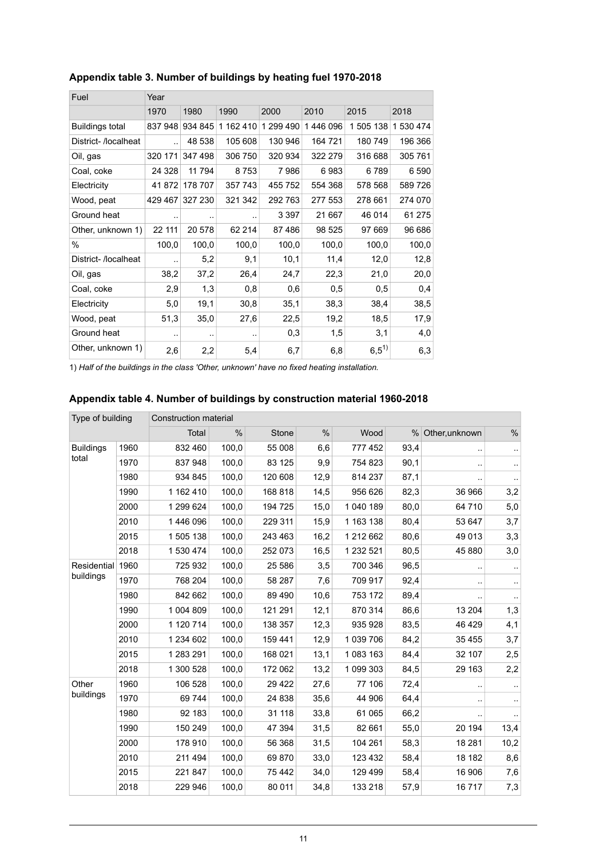| Fuel                   | Year                 |                        |           |           |          |           |           |  |  |
|------------------------|----------------------|------------------------|-----------|-----------|----------|-----------|-----------|--|--|
|                        | 1970                 | 1980                   | 1990      | 2000      | 2010     | 2015      | 2018      |  |  |
| <b>Buildings total</b> | 837 948              | 934 845                | 1 162 410 | 1 299 490 | 1446 096 | 1 505 138 | 1 530 474 |  |  |
| District-/localheat    |                      | 48 538                 | 105 608   | 130 946   | 164 721  | 180 749   | 196 366   |  |  |
| Oil, gas               | 320 171              | 347 498                | 306 750   | 320 934   | 322 279  | 316 688   | 305 761   |  |  |
| Coal, coke             | 24 3 28              | 11 794                 | 8753      | 7986      | 6983     | 6789      | 6 5 9 0   |  |  |
| Electricity            | 41872                | 178 707                | 357 743   | 455 752   | 554 368  | 578 568   | 589726    |  |  |
| Wood, peat             | 429 467              | 327 230                | 321 342   | 292763    | 277 553  | 278 661   | 274 070   |  |  |
| Ground heat            | $\ddot{\phantom{1}}$ | $\ddot{\phantom{1}}$ . |           | 3 3 9 7   | 21 667   | 46 014    | 61 275    |  |  |
| Other, unknown 1)      | 22 111               | 20 578                 | 62 214    | 87486     | 98 525   | 97 669    | 96 686    |  |  |
| $\%$                   | 100,0                | 100,0                  | 100,0     | 100,0     | 100,0    | 100,0     | 100,0     |  |  |
| District- /localheat   |                      | 5,2                    | 9,1       | 10,1      | 11,4     | 12,0      | 12,8      |  |  |
| Oil, gas               | 38,2                 | 37,2                   | 26,4      | 24,7      | 22,3     | 21,0      | 20,0      |  |  |
| Coal, coke             | 2,9                  | 1,3                    | 0,8       | 0,6       | 0,5      | 0,5       | 0,4       |  |  |
| Electricity            | 5,0                  | 19,1                   | 30,8      | 35,1      | 38,3     | 38,4      | 38,5      |  |  |
| Wood, peat             | 51,3                 | 35,0                   | 27,6      | 22,5      | 19,2     | 18,5      | 17,9      |  |  |
| Ground heat            | $\sim$               | $\sim$                 |           | 0,3       | 1,5      | 3,1       | 4,0       |  |  |
| Other, unknown 1)      | 2,6                  | 2,2                    | 5,4       | 6,7       | 6,8      | $6,5^{1}$ | 6,3       |  |  |

#### **Appendix table 3. Number of buildings by heating fuel 1970-2018**

<span id="page-10-0"></span>1) *Half of the buildings in the class 'Other, unknown' have no fixed heating installation.*

#### **Appendix table 4. Number of buildings by construction material 1960-2018**

| Type of building |      | <b>Construction material</b> |       |         |      |           |      |                |                        |  |  |
|------------------|------|------------------------------|-------|---------|------|-----------|------|----------------|------------------------|--|--|
|                  |      | Total                        | $\%$  | Stone   | $\%$ | Wood      | %    | Other, unknown | $\%$                   |  |  |
| <b>Buildings</b> | 1960 | 832 460                      | 100,0 | 55 008  | 6,6  | 777 452   | 93,4 |                | $\cdot$ .              |  |  |
| total            | 1970 | 837 948                      | 100,0 | 83 125  | 9,9  | 754 823   | 90,1 |                | $\ddotsc$              |  |  |
|                  | 1980 | 934 845                      | 100,0 | 120 608 | 12,9 | 814 237   | 87,1 |                | $\ddot{\phantom{a}}$ . |  |  |
|                  | 1990 | 1 162 410                    | 100,0 | 168 818 | 14,5 | 956 626   | 82,3 | 36 966         | 3,2                    |  |  |
|                  | 2000 | 1 299 624                    | 100,0 | 194 725 | 15,0 | 1 040 189 | 80,0 | 64 710         | 5,0                    |  |  |
|                  | 2010 | 1446096                      | 100,0 | 229 311 | 15,9 | 1 163 138 | 80,4 | 53 647         | 3,7                    |  |  |
|                  | 2015 | 1 505 138                    | 100,0 | 243 463 | 16,2 | 1 212 662 | 80,6 | 49 013         | 3,3                    |  |  |
|                  | 2018 | 1 530 474                    | 100,0 | 252 073 | 16,5 | 1 232 521 | 80,5 | 45 880         | 3,0                    |  |  |
| Residential 1960 |      | 725 932                      | 100,0 | 25 586  | 3,5  | 700 346   | 96,5 |                | $\cdot$ .              |  |  |
| buildings        | 1970 | 768 204                      | 100,0 | 58 287  | 7,6  | 709 917   | 92,4 |                | $\ddotsc$              |  |  |
|                  | 1980 | 842 662                      | 100,0 | 89 490  | 10,6 | 753 172   | 89,4 |                | $\cdot$                |  |  |
|                  | 1990 | 1 004 809                    | 100,0 | 121 291 | 12,1 | 870 314   | 86,6 | 13 204         | 1,3                    |  |  |
|                  | 2000 | 1 120 714                    | 100,0 | 138 357 | 12,3 | 935 928   | 83,5 | 46 4 29        | 4,1                    |  |  |
|                  | 2010 | 1 234 602                    | 100,0 | 159 441 | 12,9 | 1 039 706 | 84,2 | 35 4 55        | 3,7                    |  |  |
|                  | 2015 | 1 283 291                    | 100,0 | 168 021 | 13.1 | 1 083 163 | 84,4 | 32 107         | 2,5                    |  |  |
|                  | 2018 | 1 300 528                    | 100,0 | 172 062 | 13,2 | 1 099 303 | 84,5 | 29 163         | 2,2                    |  |  |
| Other            | 1960 | 106 528                      | 100,0 | 29 4 22 | 27,6 | 77 106    | 72,4 | ٠.             | $\cdot$ .              |  |  |
| buildings        | 1970 | 69 744                       | 100,0 | 24 838  | 35,6 | 44 906    | 64,4 |                | $\ddot{\phantom{1}}$   |  |  |
|                  | 1980 | 92 183                       | 100,0 | 31 118  | 33,8 | 61 065    | 66,2 |                | $\ddotsc$              |  |  |
|                  | 1990 | 150 249                      | 100,0 | 47 394  | 31,5 | 82 661    | 55,0 | 20 194         | 13,4                   |  |  |
|                  | 2000 | 178 910                      | 100,0 | 56 368  | 31,5 | 104 261   | 58,3 | 18 28 1        | 10,2                   |  |  |
|                  | 2010 | 211 494                      | 100,0 | 69 870  | 33,0 | 123 432   | 58,4 | 18 182         | 8,6                    |  |  |
|                  | 2015 | 221 847                      | 100,0 | 75 4 42 | 34,0 | 129 499   | 58,4 | 16 906         | 7,6                    |  |  |
|                  | 2018 | 229 946                      | 100,0 | 80 011  | 34,8 | 133 218   | 57,9 | 16717          | 7,3                    |  |  |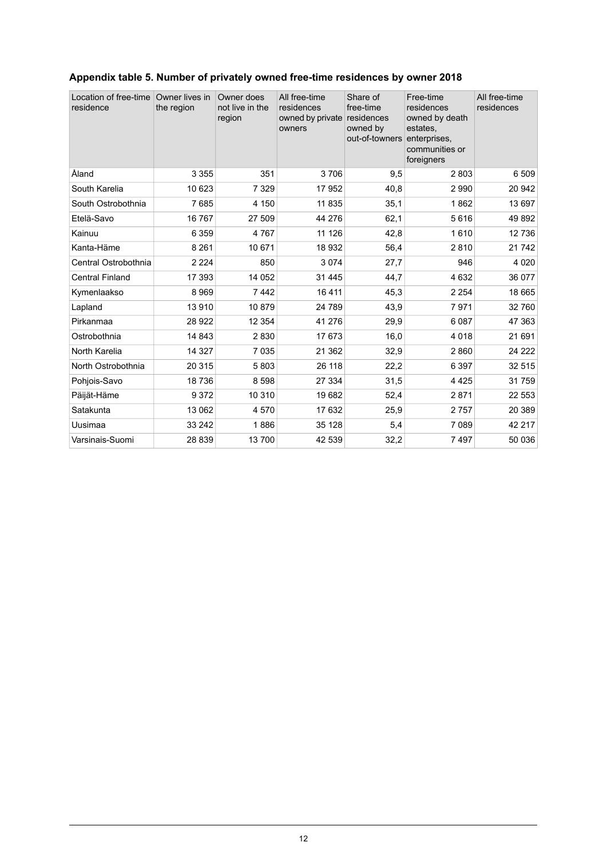| Location of free-time<br>residence | Owner lives in<br>the region | Owner does<br>not live in the<br>region | All free-time<br>residences<br>owned by private<br>owners | Share of<br>free-time<br>residences<br>owned by<br>out-of-towners | Free-time<br>residences<br>owned by death<br>estates.<br>enterprises,<br>communities or<br>foreigners | All free-time<br>residences |
|------------------------------------|------------------------------|-----------------------------------------|-----------------------------------------------------------|-------------------------------------------------------------------|-------------------------------------------------------------------------------------------------------|-----------------------------|
| Åland                              | 3 3 5 5                      | 351                                     | 3706                                                      | 9,5                                                               | 2803                                                                                                  | 6 5 0 9                     |
| South Karelia                      | 10 623                       | 7 3 2 9                                 | 17952                                                     | 40,8                                                              | 2 9 9 0                                                                                               | 20 942                      |
| South Ostrobothnia                 | 7685                         | 4 150                                   | 11 835                                                    | 35.1                                                              | 1862                                                                                                  | 13 697                      |
| Etelä-Savo                         | 16767                        | 27 509                                  | 44 276                                                    | 62,1                                                              | 5616                                                                                                  | 49892                       |
| Kainuu                             | 6 3 5 9                      | 4767                                    | 11 126                                                    | 42,8                                                              | 1610                                                                                                  | 12736                       |
| Kanta-Häme                         | 8 2 6 1                      | 10 671                                  | 18 932                                                    | 56,4                                                              | 2810                                                                                                  | 21 742                      |
| Central Ostrobothnia               | 2 2 2 4                      | 850                                     | 3074                                                      | 27,7                                                              | 946                                                                                                   | 4 0 2 0                     |
| <b>Central Finland</b>             | 17 393                       | 14 052                                  | 31 4 45                                                   | 44,7                                                              | 4 6 3 2                                                                                               | 36 077                      |
| Kymenlaakso                        | 8969                         | 7442                                    | 16 4 11                                                   | 45,3                                                              | 2 2 5 4                                                                                               | 18 665                      |
| Lapland                            | 13910                        | 10879                                   | 24 789                                                    | 43,9                                                              | 7971                                                                                                  | 32 760                      |
| Pirkanmaa                          | 28 9 22                      | 12 3 54                                 | 41 276                                                    | 29,9                                                              | 6087                                                                                                  | 47 363                      |
| Ostrobothnia                       | 14 843                       | 2830                                    | 17 673                                                    | 16,0                                                              | 4 0 18                                                                                                | 21 691                      |
| North Karelia                      | 14 3 27                      | 7 0 3 5                                 | 21 3 6 2                                                  | 32,9                                                              | 2860                                                                                                  | 24 222                      |
| North Ostrobothnia                 | 20 315                       | 5803                                    | 26 118                                                    | 22,2                                                              | 6 3 9 7                                                                                               | 32 515                      |
| Pohjois-Savo                       | 18736                        | 8598                                    | 27 334                                                    | 31,5                                                              | 4 4 2 5                                                                                               | 31759                       |
| Päijät-Häme                        | 9372                         | 10 310                                  | 19682                                                     | 52,4                                                              | 2871                                                                                                  | 22 553                      |
| Satakunta                          | 13 062                       | 4570                                    | 17 632                                                    | 25,9                                                              | 2757                                                                                                  | 20 389                      |
| Uusimaa                            | 33 24 2                      | 1886                                    | 35 128                                                    | 5,4                                                               | 7 0 8 9                                                                                               | 42 217                      |
| Varsinais-Suomi                    | 28 839                       | 13700                                   | 42 539                                                    | 32,2                                                              | 7497                                                                                                  | 50 036                      |

### <span id="page-11-0"></span>**Appendix table 5. Number of privately owned free-time residences by owner 2018**